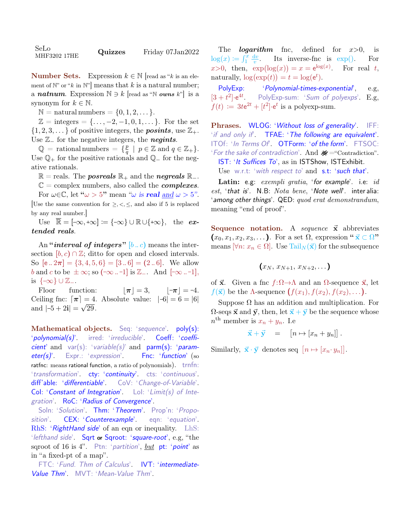| SeLo<br>MHF3202 17HE | Quizzes | Friday 07Jan2022 |
|----------------------|---------|------------------|
|----------------------|---------|------------------|

**Number Sets.** Expression  $k \in \mathbb{N}$  [read as "k is an element of  $\mathbb{N}$ " or "k in  $\mathbb{N}$ " means that k is a natural number; a **natnum**. Expression  $\mathbb{N} \ni k$  [read as "N *owns* k"] is a synonym for  $k \in \mathbb{N}$ .

 $\mathbb{N} =$  natural numbers  $= \{0, 1, 2, \dots\}.$ 

 $\mathbb{Z} = \text{integers} = {\ldots, -2, -1, 0, 1, \ldots}.$  For the set  $\{1, 2, 3, \ldots\}$  of positive integers, the **posints**, use  $\mathbb{Z}_+$ . Use  $\mathbb{Z}_-$  for the negative integers, the **negints**.

 $\mathbb{Q}$  = rational numbers =  $\{ \frac{p}{q} \}$  $\frac{p}{q} \mid p \in \mathbb{Z}$  and  $q \in \mathbb{Z}_+$ . Use  $\mathbb{Q}_+$  for the positive rationals and  $\mathbb{Q}_-$  for the negative rationals.

 $\mathbb{R} =$  reals. The *posreals*  $\mathbb{R}_+$  and the *negreals*  $\mathbb{R}_-$ .

 $\mathbb{C} =$  complex numbers, also called the *complexes*. For  $\omega \in \mathbb{C}$ , let " $\omega > 5$ " mean " $\omega$  is **real** and  $\omega > 5$ ". [Use the same convention for  $\geq, \leq, \leq$ , and also if 5 is replaced by any real number.]

Use  $\overline{\mathbb{R}} = [-\infty, +\infty] := \{-\infty\} \cup \mathbb{R} \cup \{+\infty\},\$ the  $ex$ tended reals.

An "*interval of integers*" [b. c) means the intersection  $[b, c) \cap \mathbb{Z}$ ; ditto for open and closed intervals. So  $[e \cdot 2\pi] = \{3, 4, 5, 6\} = [3 \cdot 6] = (2 \cdot 6]$ . We allow b and c to be  $\pm \infty$ ; so  $(-\infty -1]$  is  $\mathbb{Z}_-$ . And  $[-\infty -1]$ , is  $\{\infty\} \cup \mathbb{Z}_{-}.$ 

Floor function:  $|\pi| = 3$ ,  $|\pi| = -4$ . Ceiling fnc:  $\lceil \pi \rceil = 4$ . Absolute value:  $|-6| = 6 = |6|$ and  $|-5 + 2i| = \sqrt{29}$ .

Mathematical objects. Seq: 'sequence'. poly(s): 'polynomial(s)'. irred: 'irreducible'. Coeff: 'coefficient' and var(s): 'variable(s)' and parm(s): 'parameter(s)'. Expr.: 'expression'. Fnc: 'function' (so ratfnc: means rational function, a ratio of polynomials). trnfn: 'transformation' cty: 'continuity' cts: 'continuous'. diff'able: 'differentiable'. CoV: 'Change-of-Variable'. Col: 'Constant of Integration'. Lol: 'Limit(s) of Integration'. RoC: 'Radius of Convergence'.

Soln: 'Solution'. Thm: 'Theorem'. Prop'n: 'Proposition'. CEX: 'Counterexample'. eqn: 'equation'. RhS: 'RightHand side' of an eqn or inequality. LhS: 'lefthand side'. Sqrt or Sqroot: 'square-root', e.g, "the sqroot of 16 is 4". Ptn: 'partition', but pt: 'point' as in "a fixed-pt of a map".

FTC: 'Fund. Thm of Calculus'. IVT: 'intermediate-Value Thm'. MVT: 'Mean-Value Thm'.

The **logarithm** fnc, defined for  $x>0$ , is  $\log(x) \coloneqq \int_1^x \frac{\mathrm{d}v}{v}$  $\overline{v}$ Its inverse-fnc is  $\exp()$ . For  $x>0$ , then,  $\exp(\log(x)) = x = e^{\log(x)}$ For real  $t$ , naturally,  $\log(\exp(t)) = t = \log(e^t)$ .

PolyExp: 'Polynomial-times-exponential', e.g,  $[3 + t^2] \cdot e^{4t}$ PolyExp-sum: 'Sum of polyexps'. E.g,  $f(t) := 3t e^{2t} + [t^2] \cdot e^t$  is a polyexp-sum.

Phrases. WLOG: 'Without loss of generality'. IFF: 'if and only if'. TFAE: 'The following are equivalent'. ITOf: 'In Terms Of'. OTForm: 'of the form'. FTSOC: 'For the sake of contradiction'. And  $\mathcal{K}$  = "Contradiction". IST: 'It Suffices To', as in ISTShow, ISTExhibit. Use w.r.t: 'with respect to' and s.t: 'such that'.

Latin: e.g: exempli gratia, 'for example'. i.e: id est, 'that is'.  $N.B: Nota \, \text{bene}$ , 'Note well'. inter alia: 'among other things'. QED: quod erat demonstrandum, meaning "end of proof".

Sequence notation. A sequence  $\vec{x}$  abbreviates  $(x_0, x_1, x_2, x_3, \ldots)$ . For a set  $\Omega$ , expression " $\vec{x} \subset \Omega$ " means  $[\forall n: x_n \in \Omega]$ . Use Tail $_N(\vec{x})$  for the subsequence

$$
(x_N, x_{N+1}, x_{N+2}, \ldots)
$$

of  $\vec{x}$ . Given a fnc  $f:\Omega\to\Lambda$  and an  $\Omega$ -sequence  $\vec{x}$ , let  $f(\vec{x})$  be the  $\Lambda$ -sequence  $(f(x_1), f(x_2), f(x_2), \ldots)$ .

Suppose  $\Omega$  has an addition and multiplication. For  $\Omega$ -seqs  $\vec{x}$  and  $\vec{y}$ , then, let  $\vec{x} + \vec{y}$  be the sequence whose  $n^{\text{th}}$  member is  $x_n + y_n$ . I.e

$$
\vec{x} + \vec{y} = [n \mapsto [x_n + y_n]].
$$

Similarly,  $\vec{x} \cdot \vec{y}$  denotes seq  $[n \mapsto [x_n \cdot y_n]]$ .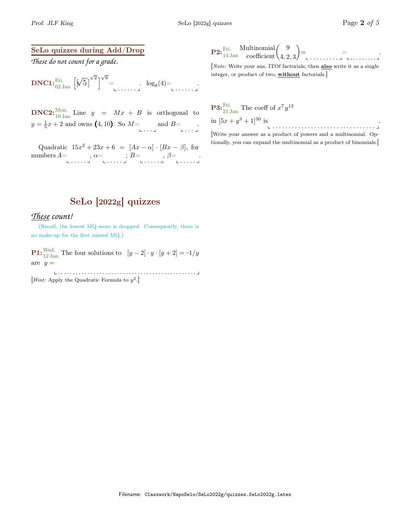.

## SeLo quizzes during Add/Drop

*These do not count for a grade.*

DNC1:Fri. 02 Jan <sup>h</sup> [ √ 5] √ 2 i √ 8 = . . . . . . . log<sup>8</sup> (4)= . . . . . . .

**DNC2:**<sup>Mon.</sup> Line  $y = Mx + B$  is orthogonal to  $y = \frac{1}{5}x + 2$  and owns (4, 10). So  $M =$  and  $B =$  ...

Quadratic  $15x^2 + 23x + 6 = [Ax - \alpha] \cdot [Bx - \beta]$ , for numbers  $A = \dots, \alpha = \dots, B = \dots, \beta = \dots \dots$ 

|  | $\overbrace{\text{``rri.}}^{\text{Art.}}$ Multinomial $\begin{pmatrix} 9 \\ 4,2,3 \end{pmatrix} =$ |
|--|----------------------------------------------------------------------------------------------------|

[Note: Write your ans. ITOf factorials, then also write it as a single integer, or product of two, without factorials.]

**P3:** 
$$
\frac{\text{Fri.}}{21 \text{ Jan}}
$$
 The coeff of  $x^7 y^{12}$   
in  $[5x + y^3 + 1]^{30}$  is

[Write your answer as a product of powers and a multinomial. Optionally, you can expand the multinomial as a product of binomials.]

## SeLo [2022g] quizzes

## *These count!*

(Recall, the lowest MQ score is dropped. Consequently, there is no make-up for the first missed MQ.)

**P1:** Wed. The four solutions to  $[y-2] \cdot y \cdot [y+2] = -1/y$ are  $y =$ 

. . . . . . . . . . . . . . . . . . . . . . . . . . . . . . . . . . . . . . . . . . . . . . . *Hint:* Apply the Quadratic Formula to  $y^2$ .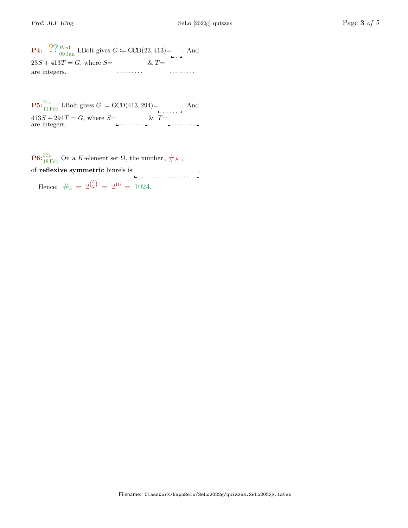**P4:**  $\bigcirc_{09}^{\infty}$  Wed. LBolt gives  $G := \text{GCD}(23, 413) = \square$ . And  $23S + 413T = G$ , where  $S=$ . . . . . . . . . are integers. . . . . . . . . .  $\&$   $T=$ 

**P5:**  $_{11}^{Fri.}$  LBolt gives  $G \coloneqq \text{GCD}(413, 294)$   $\vdots$  And  $413S + 294T = G$ , where  $S = \begin{bmatrix} 0 & \& T = \end{bmatrix}$  ........

**P6:**<sup>Fri.</sup> On a K-element set  $\Omega$ , the number,  $\#_K$ , of reflexive symmetric binrels is . . . . . . . . . . . . . . . . . . .

Hence:  $\#_5 = 2^{{5 \choose 2}} = 2^{10} = 1024.$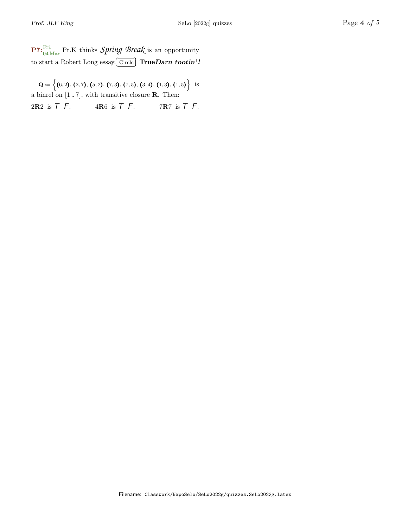P7:Fri. 04 Mar Pr.K thinks *Spring Break* is an opportunity to start a Robert Long essay. ✂ Ĭ.  $\overline{\text{Circle}}$  True $\overline{\text{Darn}}$  tootin'!

 $\mathbf{Q} \coloneqq \left\{ (6, 2), (2, 7), (5, 2), (7, 3), (7, 5), (3, 4), (1, 3), (1, 5) \right\} \; \; \text{is}$ a binrel on  $[1..7]$ , with transitive closure **R**. Then:

2R2 is  $T$  F. 4R6 is  $T$  F. 7R7 is  $T$  F.